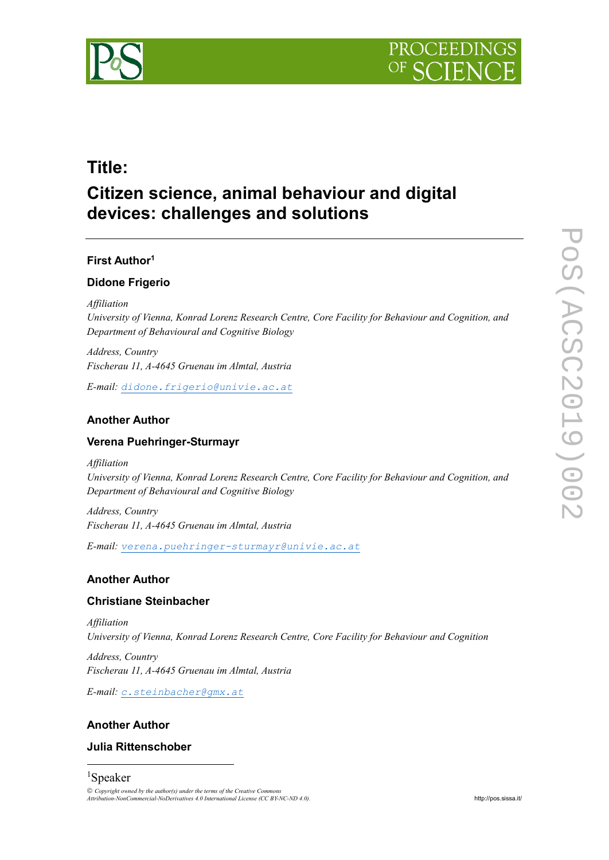



## **Title:**

# **Citizen science, animal behaviour and digital devices: challenges and solutions**

### **First Author<sup>1</sup>**

### **Didone Frigerio**

*Affiliation*

*University of Vienna, Konrad Lorenz Research Centre, Core Facility for Behaviour and Cognition, and Department of Behavioural and Cognitive Biology*

*Address, Country Fischerau 11, A-4645 Gruenau im Almtal, Austria*

*E-mail: [didone.frigerio@univie.ac.at](mailto:didone.frigerio@univie.ac.at)*

### **Another Author**

### **Verena Puehringer-Sturmayr**

*Affiliation*

*University of Vienna, Konrad Lorenz Research Centre, Core Facility for Behaviour and Cognition, and Department of Behavioural and Cognitive Biology*

*Address, Country Fischerau 11, A-4645 Gruenau im Almtal, Austria*

*E-mail: [verena.puehringer-sturmayr@univie.ac.at](mailto:verena.puehringer-sturmayr@univie.ac.at)*

### **Another Author**

### **Christiane Steinbacher**

*Affiliation University of Vienna, Konrad Lorenz Research Centre, Core Facility for Behaviour and Cognition*

*Address, Country Fischerau 11, A-4645 Gruenau im Almtal, Austria*

*E-mail: [c.steinbacher@gmx.at](mailto:c.steinbacher@gmx.at)*

### **Another Author**

### **Julia Rittenschober**

## <sup>1</sup>Speaker

1

 *Copyright owned by the author(s) under the terms of the Creative Commons Attribution-NonCommercial-NoDerivatives 4.0 International License (CC BY-NC-ND 4.0).* <http://pos.sissa.it/>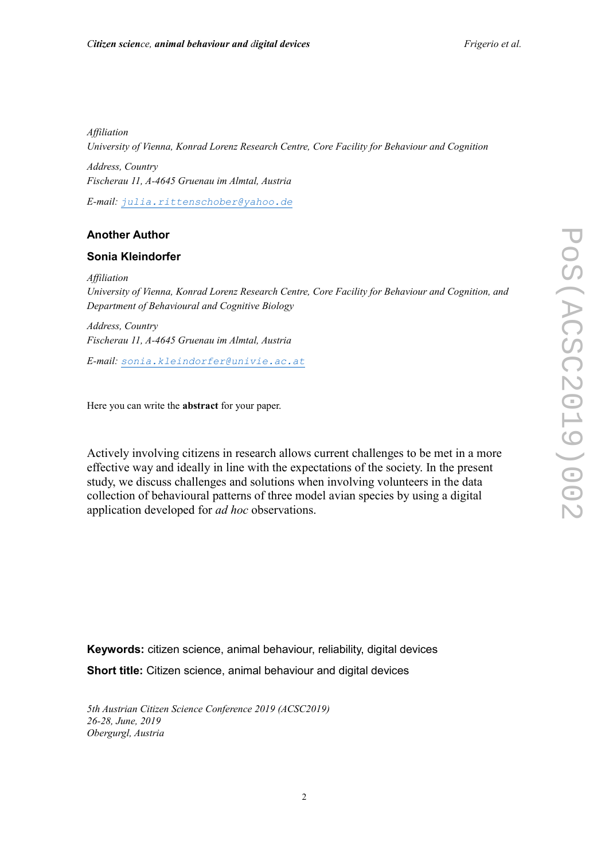*Affiliation University of Vienna, Konrad Lorenz Research Centre, Core Facility for Behaviour and Cognition Address, Country Fischerau 11, A-4645 Gruenau im Almtal, Austria*

*E-mail: [julia.rittenschober@yahoo.de](mailto:julia.rittenschober@yahoo.de)*

### **Another Author**

#### **Sonia Kleindorfer**

*Affiliation University of Vienna, Konrad Lorenz Research Centre, Core Facility for Behaviour and Cognition, and Department of Behavioural and Cognitive Biology*

*Address, Country Fischerau 11, A-4645 Gruenau im Almtal, Austria*

*E-mail: [sonia.kleindorfer@univie.ac.at](mailto:sonia.kleindorfer@univie.ac.at)*

Here you can write the **abstract** for your paper.

Actively involving citizens in research allows current challenges to be met in a more effective way and ideally in line with the expectations of the society. In the present study, we discuss challenges and solutions when involving volunteers in the data collection of behavioural patterns of three model avian species by using a digital application developed for *ad hoc* observations.

**Keywords:** citizen science, animal behaviour, reliability, digital devices **Short title:** Citizen science, animal behaviour and digital devices

*5th Austrian Citizen Science Conference 2019 (ACSC2019) 26-28, June, 2019 Obergurgl, Austria*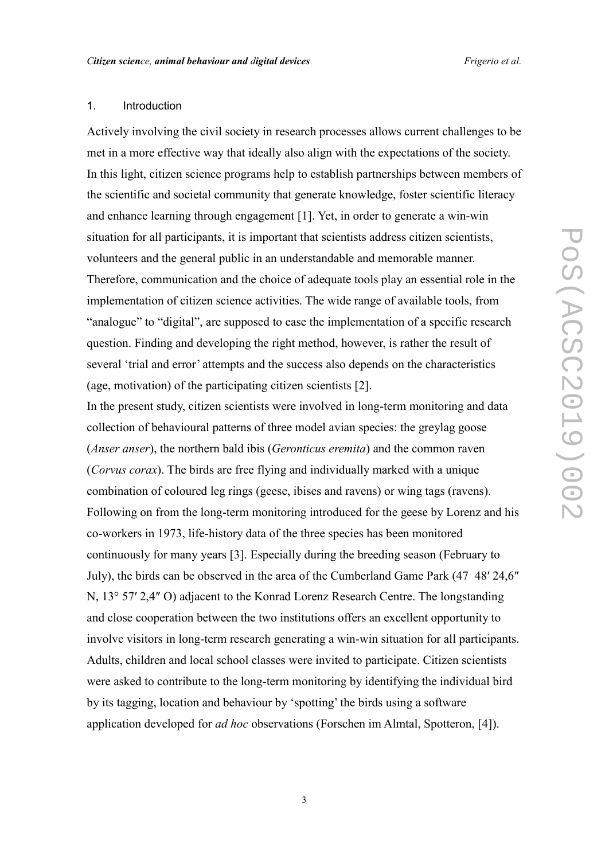### 1. Introduction

Actively involving the civil society in research processes allows current challenges to be met in a more effective way that ideally also align with the expectations of the society. In this light, citizen science programs help to establish partnerships between members of the scientific and societal community that generate knowledge, foster scientific literacy and enhance learning through engagement [1]. Yet, in order to generate a win-win situation for all participants, it is important that scientists address citizen scientists, volunteers and the general public in an understandable and memorable manner. Therefore, communication and the choice of adequate tools play an essential role in the implementation of citizen science activities. The wide range of available tools, from "analogue" to "digital", are supposed to ease the implementation of a specific research question. Finding and developing the right method, however, is rather the result of several 'trial and error' attempts and the success also depends on the characteristics (age, motivation) of the participating citizen scientists [2].

In the present study, citizen scientists were involved in long-term monitoring and data collection of behavioural patterns of three model avian species: the greylag goose (*Anser anser*), the northern bald ibis (*Geronticus eremita*) and the common raven (*Corvus corax*). The birds are free flying and individually marked with a unique combination of coloured leg rings (geese, ibises and ravens) or wing tags (ravens). Following on from the long-term monitoring introduced for the geese by Lorenz and his co-workers in 1973, life-history data of the three species has been monitored continuously for many years [3]. Especially during the breeding season (February to July), the birds can be observed in the area of the Cumberland Game Park (47 48′ 24,6″ N, 13° 57′ 2,4″ O) adjacent to the Konrad Lorenz Research Centre. The longstanding and close cooperation between the two institutions offers an excellent opportunity to involve visitors in long-term research generating a win-win situation for all participants. Adults, children and local school classes were invited to participate. Citizen scientists were asked to contribute to the long-term monitoring by identifying the individual bird by its tagging, location and behaviour by 'spotting' the birds using a software application developed for *ad hoc* observations (Forschen im Almtal, Spotteron, [4]).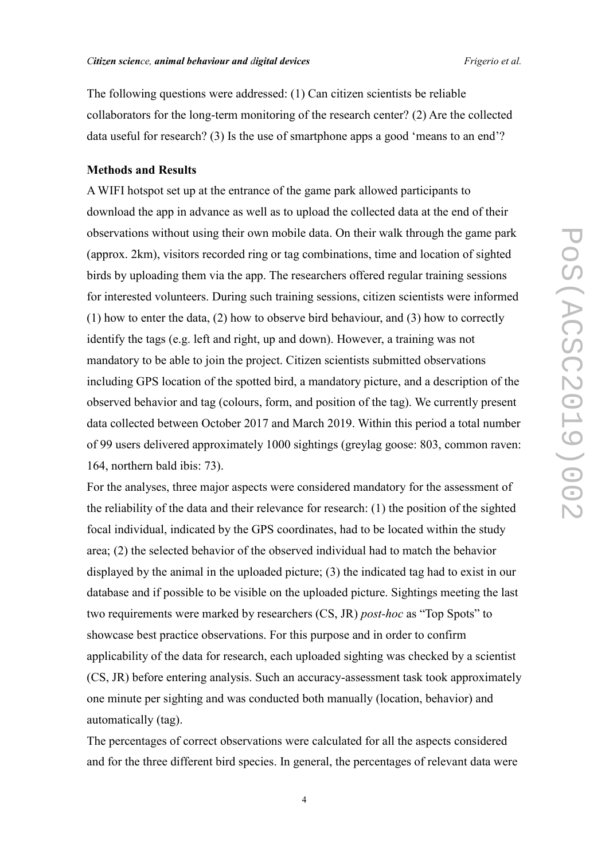The following questions were addressed: (1) Can citizen scientists be reliable collaborators for the long-term monitoring of the research center? (2) Are the collected data useful for research? (3) Is the use of smartphone apps a good 'means to an end'?

#### **Methods and Results**

A WIFI hotspot set up at the entrance of the game park allowed participants to download the app in advance as well as to upload the collected data at the end of their observations without using their own mobile data. On their walk through the game park (approx. 2km), visitors recorded ring or tag combinations, time and location of sighted birds by uploading them via the app. The researchers offered regular training sessions for interested volunteers. During such training sessions, citizen scientists were informed (1) how to enter the data, (2) how to observe bird behaviour, and (3) how to correctly identify the tags (e.g. left and right, up and down). However, a training was not mandatory to be able to join the project. Citizen scientists submitted observations including GPS location of the spotted bird, a mandatory picture, and a description of the observed behavior and tag (colours, form, and position of the tag). We currently present data collected between October 2017 and March 2019. Within this period a total number of 99 users delivered approximately 1000 sightings (greylag goose: 803, common raven: 164, northern bald ibis: 73).

For the analyses, three major aspects were considered mandatory for the assessment of the reliability of the data and their relevance for research: (1) the position of the sighted focal individual, indicated by the GPS coordinates, had to be located within the study area; (2) the selected behavior of the observed individual had to match the behavior displayed by the animal in the uploaded picture; (3) the indicated tag had to exist in our database and if possible to be visible on the uploaded picture. Sightings meeting the last two requirements were marked by researchers (CS, JR) *post-hoc* as "Top Spots" to showcase best practice observations. For this purpose and in order to confirm applicability of the data for research, each uploaded sighting was checked by a scientist (CS, JR) before entering analysis. Such an accuracy-assessment task took approximately one minute per sighting and was conducted both manually (location, behavior) and automatically (tag).

The percentages of correct observations were calculated for all the aspects considered and for the three different bird species. In general, the percentages of relevant data were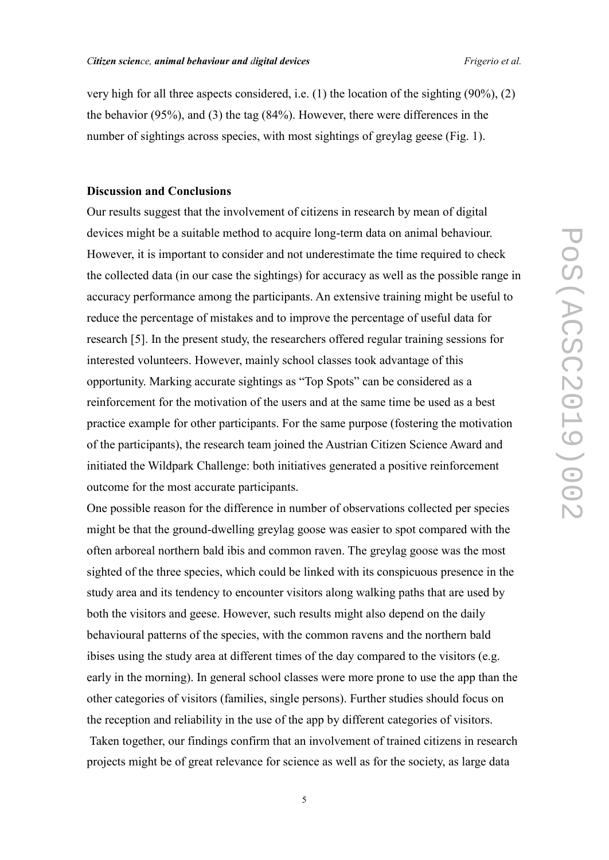very high for all three aspects considered, i.e. (1) the location of the sighting (90%), (2) the behavior (95%), and (3) the tag (84%). However, there were differences in the number of sightings across species, with most sightings of greylag geese (Fig. 1).

### **Discussion and Conclusions**

Our results suggest that the involvement of citizens in research by mean of digital devices might be a suitable method to acquire long-term data on animal behaviour. However, it is important to consider and not underestimate the time required to check the collected data (in our case the sightings) for accuracy as well as the possible range in accuracy performance among the participants. An extensive training might be useful to reduce the percentage of mistakes and to improve the percentage of useful data for research [5]. In the present study, the researchers offered regular training sessions for interested volunteers. However, mainly school classes took advantage of this opportunity. Marking accurate sightings as "Top Spots" can be considered as a reinforcement for the motivation of the users and at the same time be used as a best practice example for other participants. For the same purpose (fostering the motivation of the participants), the research team joined the Austrian Citizen Science Award and initiated the Wildpark Challenge: both initiatives generated a positive reinforcement outcome for the most accurate participants.

One possible reason for the difference in number of observations collected per species might be that the ground-dwelling greylag goose was easier to spot compared with the often arboreal northern bald ibis and common raven. The greylag goose was the most sighted of the three species, which could be linked with its conspicuous presence in the study area and its tendency to encounter visitors along walking paths that are used by both the visitors and geese. However, such results might also depend on the daily behavioural patterns of the species, with the common ravens and the northern bald ibises using the study area at different times of the day compared to the visitors (e.g. early in the morning). In general school classes were more prone to use the app than the other categories of visitors (families, single persons). Further studies should focus on the reception and reliability in the use of the app by different categories of visitors.

Taken together, our findings confirm that an involvement of trained citizens in research projects might be of great relevance for science as well as for the society, as large data

5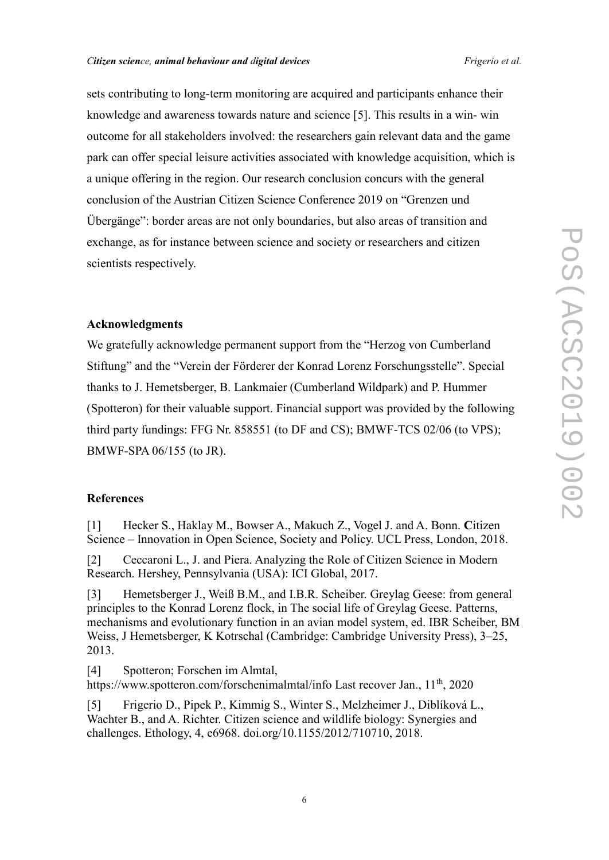#### *Citizen science, animal behaviour and digital devices Frigerio et al.*

sets contributing to long-term monitoring are acquired and participants enhance their knowledge and awareness towards nature and science [5]. This results in a win- win outcome for all stakeholders involved: the researchers gain relevant data and the game park can offer special leisure activities associated with knowledge acquisition, which is a unique offering in the region. Our research conclusion concurs with the general conclusion of the Austrian Citizen Science Conference 2019 on "Grenzen und Übergänge": border areas are not only boundaries, but also areas of transition and exchange, as for instance between science and society or researchers and citizen scientists respectively.

### **Acknowledgments**

We gratefully acknowledge permanent support from the "Herzog von Cumberland Stiftung" and the "Verein der Förderer der Konrad Lorenz Forschungsstelle". Special thanks to J. Hemetsberger, B. Lankmaier (Cumberland Wildpark) and P. Hummer (Spotteron) for their valuable support. Financial support was provided by the following third party fundings: FFG Nr. 858551 (to DF and CS); BMWF-TCS 02/06 (to VPS); BMWF-SPA 06/155 (to JR).

### **References**

[1] Hecker S., Haklay M., Bowser A., Makuch Z., Vogel J. and A. Bonn. **C**itizen Science – Innovation in Open Science, Society and Policy. UCL Press, London, 2018.

[2] Ceccaroni L., J. and Piera. Analyzing the Role of Citizen Science in Modern Research. Hershey, Pennsylvania (USA): ICI Global, 2017.

[3] Hemetsberger J., Weiß B.M., and I.B.R. Scheiber. Greylag Geese: from general principles to the Konrad Lorenz flock, in The social life of Greylag Geese. Patterns, mechanisms and evolutionary function in an avian model system, ed. IBR Scheiber, BM Weiss, J Hemetsberger, K Kotrschal (Cambridge: Cambridge University Press), 3–25, 2013.

[4] Spotteron; Forschen im Almtal, https://www.spotteron.com/forschenimalmtal/info Last recover Jan., 11<sup>th</sup>, 2020

[5] Frigerio D., Pipek P., Kimmig S., Winter S., Melzheimer J., Diblíková L., Wachter B., and A. Richter. Citizen science and wildlife biology: Synergies and challenges. Ethology, 4, e6968. [doi.org/10.1155/2012/710710,](http://doi.org/10.1155/2012/710710) 2018.